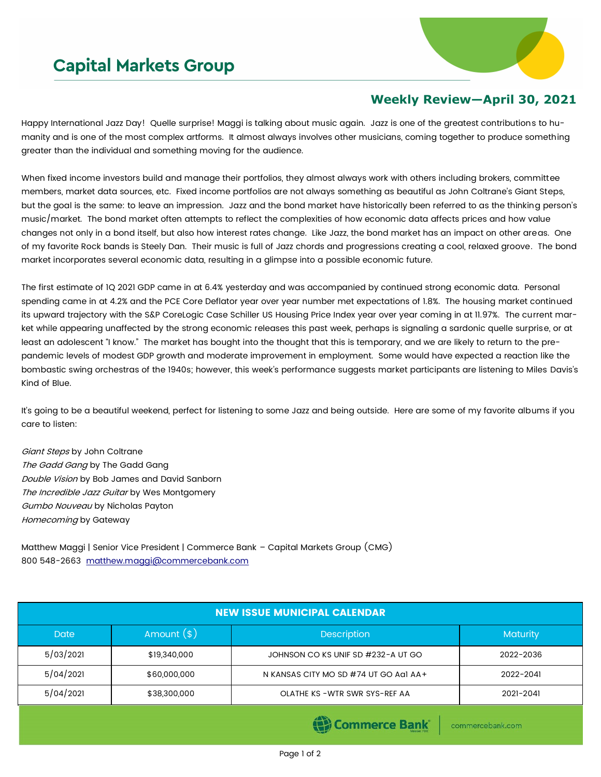## **Capital Markets Group**



## **Weekly Review—April 30, 2021**

Happy International Jazz Day! Quelle surprise! Maggi is talking about music again. Jazz is one of the greatest contributions to humanity and is one of the most complex artforms. It almost always involves other musicians, coming together to produce something greater than the individual and something moving for the audience.

When fixed income investors build and manage their portfolios, they almost always work with others including brokers, committee members, market data sources, etc. Fixed income portfolios are not always something as beautiful as John Coltrane's Giant Steps, but the goal is the same: to leave an impression. Jazz and the bond market have historically been referred to as the thinking person's music/market. The bond market often attempts to reflect the complexities of how economic data affects prices and how value changes not only in a bond itself, but also how interest rates change. Like Jazz, the bond market has an impact on other areas. One of my favorite Rock bands is Steely Dan. Their music is full of Jazz chords and progressions creating a cool, relaxed groove. The bond market incorporates several economic data, resulting in a glimpse into a possible economic future.

The first estimate of 1Q 2021 GDP came in at 6.4% yesterday and was accompanied by continued strong economic data. Personal spending came in at 4.2% and the PCE Core Deflator year over year number met expectations of 1.8%. The housing market continued its upward trajectory with the S&P CoreLogic Case Schiller US Housing Price Index year over year coming in at 11.97%. The current market while appearing unaffected by the strong economic releases this past week, perhaps is signaling a sardonic quelle surprise, or at least an adolescent "I know." The market has bought into the thought that this is temporary, and we are likely to return to the prepandemic levels of modest GDP growth and moderate improvement in employment. Some would have expected a reaction like the bombastic swing orchestras of the 1940s; however, this week's performance suggests market participants are listening to Miles Davis's Kind of Blue.

It's going to be a beautiful weekend, perfect for listening to some Jazz and being outside. Here are some of my favorite albums if you care to listen:

Giant Steps by John Coltrane The Gadd Gang by The Gadd Gang Double Vision by Bob James and David Sanborn The Incredible Jazz Guitar by Wes Montgomery Gumbo Nouveau by Nicholas Payton Homecoming by Gateway

Matthew Maggi | Senior Vice President | Commerce Bank – Capital Markets Group (CMG) 800 548-2663 [matthew.maggi@commercebank.com](mailto:matthew.maggi@commercebank.com)

| <b>NEW ISSUE MUNICIPAL CALENDAR</b> |               |                                       |           |  |  |  |
|-------------------------------------|---------------|---------------------------------------|-----------|--|--|--|
| <b>Date</b>                         | Amount $(\$)$ | <b>Description</b>                    | Maturity  |  |  |  |
| 5/03/2021                           | \$19,340,000  | JOHNSON CO KS UNIF SD #232-A UT GO    | 2022-2036 |  |  |  |
| 5/04/2021                           | \$60,000,000  | N KANSAS CITY MO SD #74 UT GO AGI AA+ | 2022-2041 |  |  |  |
| 5/04/2021                           | \$38,300,000  | OLATHE KS - WTR SWR SYS-REF AA        | 2021-2041 |  |  |  |
|                                     |               |                                       |           |  |  |  |

**(E)** Commerce Bank

commercebank.com